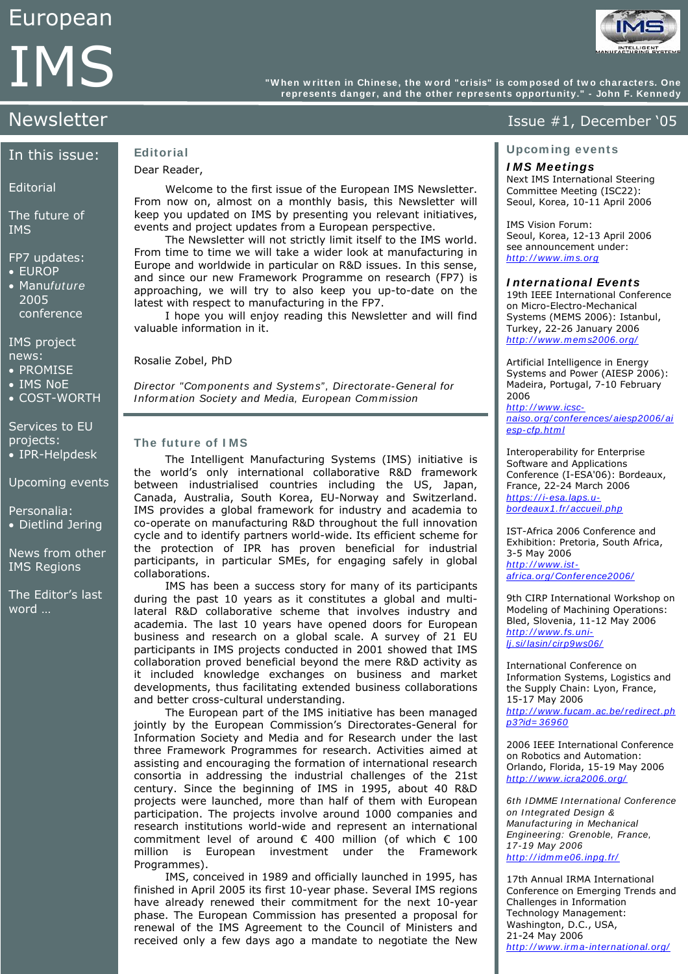

**"W hen w ritten in Chinese, the w ord "crisis" is com posed of tw o characters. One**  "When written in Chinese, the word "crisis" is composed of two characters. One<br>represents danger, and the other represents opportunity." - John F. Kennedy

## In this issue:

#### **Editorial**

The future of IMS

#### FP7 updates:

- EUROP
- Manufuture 2005 conference

IMS project news:

- PROMISE
- IMS NoE
- COST-WORTH

Services to EU projects: • IPR-Helpdesk

Upcoming events

Personalia: • Dietlind Jering

News from other IMS Regions

The Editor's last word …

#### **Editorial**  Dear Reader,

Welcome to the first issue of the European IMS Newsletter. From now on, almost on a monthly basis, this Newsletter will keep you updated on IMS by presenting you relevant initiatives, events and project updates from a European perspective.

 The Newsletter will not strictly limit itself to the IMS world. From time to time we will take a wider look at manufacturing in Europe and worldwide in particular on R&D issues. In this sense, and since our new Framework Programme on research (FP7) is approaching, we will try to also keep you up-to-date on the latest with respect to manufacturing in the FP7.

 I hope you will enjoy reading this Newsletter and will find valuable information in it.

Rosalie Zobel, PhD

Director "Com ponents and System s", Directorate-General for Information Society and Media, European Commission

#### **The future of I MS**

The Intelligent Manufacturing Systems (IMS) initiative is the world's only international collaborative R&D framework between industrialised countries including the US, Japan, Canada, Australia, South Korea, EU-Norway and Switzerland. IMS provides a global framework for industry and academia to co-operate on manufacturing R&D throughout the full innovation cycle and to identify partners world-wide. Its efficient scheme for the protection of IPR has proven beneficial for industrial participants, in particular SMEs, for engaging safely in global collaborations.

IMS has been a success story for many of its participants during the past 10 years as it constitutes a global and multilateral R&D collaborative scheme that involves industry and academia. The last 10 years have opened doors for European business and research on a global scale. A survey of 21 EU participants in IMS projects conducted in 2001 showed that IMS collaboration proved beneficial beyond the mere R&D activity as it included knowledge exchanges on business and market developments, thus facilitating extended business collaborations and better cross-cultural understanding.

 The European part of the IMS initiative has been managed jointly by the European Commission's Directorates-General for Information Society and Media and for Research under the last three Framework Programmes for research. Activities aimed at assisting and encouraging the formation of international research consortia in addressing the industrial challenges of the 21st century. Since the beginning of IMS in 1995, about 40 R&D projects were launched, more than half of them with European participation. The projects involve around 1000 companies and research institutions world-wide and represent an international commitment level of around € 400 million (of which € 100 million is European investment under the Framework Programmes).

 IMS, conceived in 1989 and officially launched in 1995, has finished in April 2005 its first 10-year phase. Several IMS regions have already renewed their commitment for the next 10-year phase. The European Commission has presented a proposal for renewal of the IMS Agreement to the Council of Ministers and received only a few days ago a mandate to negotiate the New

# Newsletter **Issue #1, December '05**

#### **Upcom ing events**

#### **I MS Meetings**

Next IMS International Steering Committee Meeting (ISC22): Seoul, Korea, 10-11 April 2006

IMS Vision Forum: Seoul, Korea, 12-13 April 2006 see announcement under: http://www.ims.org

#### **I nternational Events**

19th IEEE International Conference on Micro-Electro-Mechanical Systems (MEMS 2006): Istanbul, Turkey, 22-26 January 2006 http://www.mems2006.org/

Artificial Intelligence in Energy Systems and Power (AIESP 2006): Madeira, Portugal, 7-10 February 2006 http://www.icsc-

[naiso.org/ conferences/ aiesp2006/ ai](http://www.icsc-naiso.org/conferences/aiesp2006/aiesp-cfp.html) esp-cfp.html

Interoperability for Enterprise Software and Applications Conference (I-ESA'06): Bordeaux, France, 22-24 March 2006 https://i-esa.laps.ubordeaux1.fr/ accueil.php

IST-Africa 2006 Conference and Exhibition: Pretoria, South Africa, 3-5 May 2006 http://www.ist[africa.org/ Conference2006/](http://www.ist-africa.org/Conference2006/)

9th CIRP International Workshop on Modeling of Machining Operations: Bled, Slovenia, 11-12 May 2006 http://www.fs.uni[lj.si/ lasin/ cirp9ws06/](http://www.fs.uni-lj.si/lasin/cirp9ws06/)

International Conference on Information Systems, Logistics and the Supply Chain: Lyon, France, 15-17 May 2006 http://www.fucam.ac.be/redirect.ph [p3?id= 36960](http://www.fucam.ac.be/redirect.php3?id=36960) 

2006 IEEE International Conference on Robotics and Automation: Orlando, Florida, 15-19 May 2006 http://www.icra2006.org/

6th IDMME International Conference on Integrated Design & Manufacturing in Mechanical Engineering: Grenoble, France, 17-19 May 2006 http://idmme06.inpg.fr/

17th Annual IRMA International Conference on Emerging Trends and Challenges in Information Technology Management: Washington, D.C., USA, 21-24 May 2006 http://www.irma-international.org/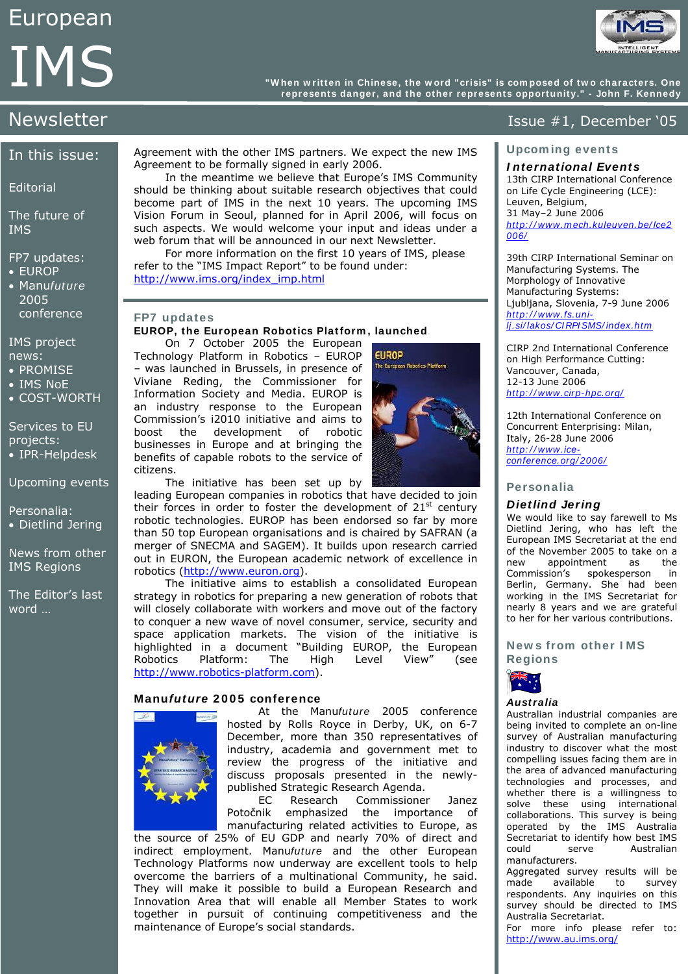**"W hen w ritten in Chinese, the w ord "crisis" is com posed of tw o characters. One**  "When written in Chinese, the word "crisis" is composed of two characters. One<br>represents danger, and the other represents opportunity." - John F. Kennedy

# In this issue:

#### **Editorial**

The future of IMS

### FP7 updates:

- EUROP
- Manufuture 2005 conference

#### IMS project news:

- PROMISE
- IMS NoE
- COST-WORTH

Services to EU projects: • IPR-Helpdesk

Upcoming events

Personalia: • Dietlind Jering

News from other IMS Regions

The Editor's last word …

Agreement with the other IMS partners. We expect the new IMS Agreement to be formally signed in early 2006.

 In the meantime we believe that Europe's IMS Community should be thinking about suitable research objectives that could become part of IMS in the next 10 years. The upcoming IMS Vision Forum in Seoul, planned for in April 2006, will focus on such aspects. We would welcome your input and ideas under a web forum that will be announced in our next Newsletter.

 For more information on the first 10 years of IMS, please refer to the "IMS Impact Report" to be found under: [http://www.ims.org/index\\_imp.html](http://www.ims.org/index_imp.html)

leading European companies in robotics that have decided to join their forces in order to foster the development of  $21<sup>st</sup>$  century robotic technologies. EUROP has been endorsed so far by more than 50 top European organisations and is chaired by SAFRAN (a merger of SNECMA and SAGEM). It builds upon research carried out in EURON, the European academic network of excellence in

 The initiative aims to establish a consolidated European strategy in robotics for preparing a new generation of robots that will closely collaborate with workers and move out of the factory to conquer a new wave of novel consumer, service, security and space application markets. The vision of the initiative is highlighted in a document "Building EUROP, the European Robotics Platform: The High Level View" (see

### **FP7 updates**

#### **EUROP, the European Robotics Platform , launched**

 On 7 October 2005 the European Technology Platform in Robotics – EUROP – was launched in Brussels, in presence of Viviane Reding, the Commissioner for Information Society and Media. EUROP is an industry response to the European Commission's i2010 initiative and aims to boost the development of robotic businesses in Europe and at bringing the benefits of capable robots to the service of citizens.

robotics ([http://www.euron.org](http://www.euron.org/)).

[http://www.robotics-platform.com](http://www.robotics-platform.com/)).

**Manufuture 2 0 0 5 conference**



Newsletter **Issue #1, December '05** 

#### **Upcom ing events**

## **I nternational Events**

13th CIRP International Conference on Life Cycle Engineering (LCE): Leuven, Belgium, 31 May–2 June 2006 http://www.mech.kuleuven.be/lce2 [006/](http://www.mech.kuleuven.be/lce2006/) 

39th CIRP International Seminar on Manufacturing Systems. The Morphology of Innovative Manufacturing Systems: Ljubljana, Slovenia, 7-9 June 2006 http://www.fs.unilj.si/ lakos/ CI RPI SMS/ index.htm

CIRP 2nd International Conference on High Performance Cutting: Vancouver, Canada, 12-13 June 2006 http://www.cirp-hpc.org/

12th International Conference on Concurrent Enterprising: Milan, Italy, 26-28 June 2006 http://www.iceconference.org/2006/

#### **Personalia**

#### **Dietlind Jering**

We would like to say farewell to Ms Dietlind Jering, who has left the European IMS Secretariat at the end of the November 2005 to take on a<br>new appointment as the appointment Commission's spokesperson in Berlin, Germany. She had been working in the IMS Secretariat for nearly 8 years and we are grateful to her for her various contributions.

#### **New s from other I MS Regions**



#### **Australia**

Australian industrial companies are being invited to complete an on-line survey of Australian manufacturing industry to discover what the most compelling issues facing them are in the area of advanced manufacturing technologies and processes, and whether there is a willingness to solve these using international collaborations. This survey is being operated by the IMS Australia Secretariat to identify how best IMS could serve Australian manufacturers.

Aggregated survey results will be made available to survey respondents. Any inquiries on this survey should be directed to IMS Australia Secretariat.

For more info please refer to: <http://www.au.ims.org/>

At the Manufuture 2005 conference hosted by Rolls Royce in Derby, UK, on 6-7 December, more than 350 representatives of industry, academia and government met to review the progress of the initiative and discuss proposals presented in the newlypublished Strategic Research Agenda.

EC Research Commissioner Janez Potočnik emphasized the importance of manufacturing related activities to Europe, as

the source of 25% of EU GDP and nearly 70% of direct and indirect employment. Manufuture and the other European Technology Platforms now underway are excellent tools to help overcome the barriers of a multinational Community, he said. They will make it possible to build a European Research and Innovation Area that will enable all Member States to work together in pursuit of continuing competitiveness and the maintenance of Europe's social standards.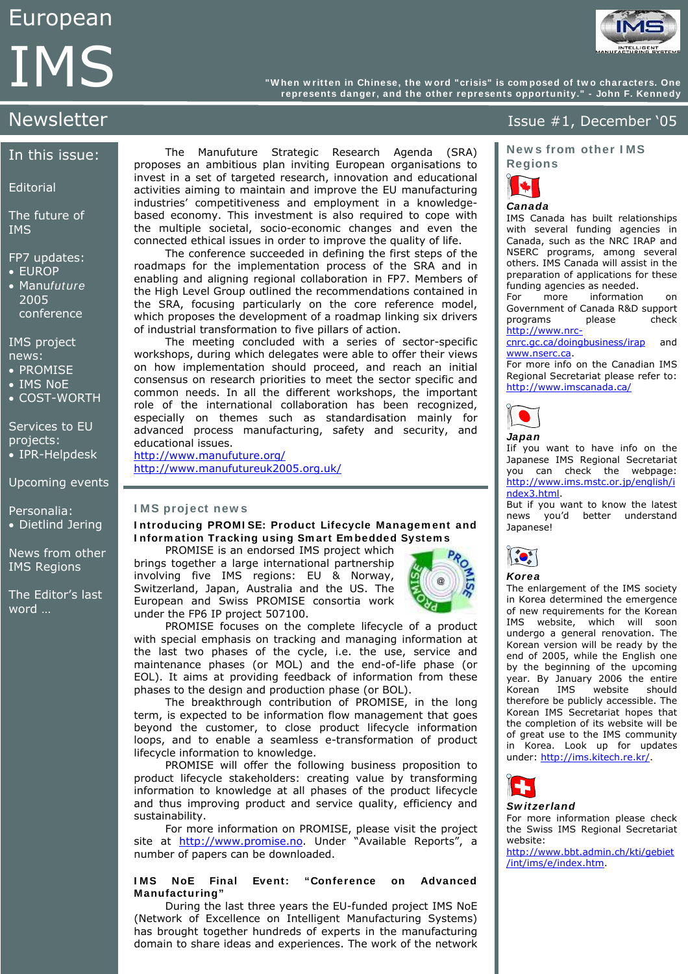**"W hen w ritten in Chinese, the w ord "crisis" is com posed of tw o characters. One**  "When written in Chinese, the word "crisis" is composed of two characters. One<br>represents danger, and the other represents opportunity." - John F. Kennedy

## In this issue:

**Editorial** 

The future of IMS

FP7 updates:

- EUROP
- Manufuture 2005 **conference**

IMS project news:

- PROMISE
- IMS NoE
- COST-WORTH

Services to EU projects:

• IPR-Helpdesk

Upcoming events

Personalia: • Dietlind Jering

News from other IMS Regions

The Editor's last word …

The Manufuture Strategic Research Agenda (SRA) proposes an ambitious plan inviting European organisations to invest in a set of targeted research, innovation and educational activities aiming to maintain and improve the EU manufacturing industries' competitiveness and employment in a knowledgebased economy. This investment is also required to cope with the multiple societal, socio-economic changes and even the connected ethical issues in order to improve the quality of life.

The conference succeeded in defining the first steps of the roadmaps for the implementation process of the SRA and in enabling and aligning regional collaboration in FP7. Members of the High Level Group outlined the recommendations contained in the SRA, focusing particularly on the core reference model, which proposes the development of a roadmap linking six drivers of industrial transformation to five pillars of action.

The meeting concluded with a series of sector-specific workshops, during which delegates were able to offer their views on how implementation should proceed, and reach an initial consensus on research priorities to meet the sector specific and common needs. In all the different workshops, the important role of the international collaboration has been recognized, especially on themes such as standardisation mainly for advanced process manufacturing, safety and security, and educational issues.

<http://www.manufuture.org/> <http://www.manufutureuk2005.org.uk/>

#### **I MS project new s**

#### **I ntroducing PROMI SE: Product Lifecycle Managem ent and I nform ation Tracking using Sm art Em bedded System s**

PROMISE is an endorsed IMS project which brings together a large international partnership involving five IMS regions: EU & Norway, Switzerland, Japan, Australia and the US. The European and Swiss PROMISE consortia work under the FP6 IP project 507100.



 PROMISE focuses on the complete lifecycle of a product with special emphasis on tracking and managing information at the last two phases of the cycle, i.e. the use, service and maintenance phases (or MOL) and the end-of-life phase (or EOL). It aims at providing feedback of information from these phases to the design and production phase (or BOL).

 The breakthrough contribution of PROMISE, in the long term, is expected to be information flow management that goes beyond the customer, to close product lifecycle information loops, and to enable a seamless e-transformation of product lifecycle information to knowledge.

 PROMISE will offer the following business proposition to product lifecycle stakeholders: creating value by transforming information to knowledge at all phases of the product lifecycle and thus improving product and service quality, efficiency and sustainability.

 For more information on PROMISE, please visit the project site at [http://www.promise.no.](http://www.promise.no/) Under "Available Reports", a number of papers can be downloaded.

#### **I MS NoE Final Event: "Conference on Advanced Manufacturing"**

During the last three years the EU-funded project IMS NoE (Network of Excellence on Intelligent Manufacturing Systems) has brought together hundreds of experts in the manufacturing domain to share ideas and experiences. The work of the network

# Newsletter **Issue #1, December '05**

**New s from other I MS Regions** 



## **Canada**

IMS Canada has built relationships with several funding agencies in Canada, such as the NRC IRAP and NSERC programs, among several others. IMS Canada will assist in the preparation of applications for these funding agencies as needed.

For more information on Government of Canada R&D support programs please check [http://www.nrc-](http://www.nrc-cnrc.gc.ca/doingbusiness/irap)

[cnrc.gc.ca/doingbusiness/irap](http://www.nrc-cnrc.gc.ca/doingbusiness/irap) and [www.nserc.ca](http://www.nserc.ca/).

For more info on the Canadian IMS Regional Secretariat please refer to: <http://www.imscanada.ca/>



Iif you want to have info on the Japanese IMS Regional Secretariat you can check the webpage: [http://www.ims.mstc.or.jp/english/i](http://www.ims.mstc.or.jp/english/index3.html) [ndex3.html.](http://www.ims.mstc.or.jp/english/index3.html)

But if you want to know the latest news you'd better understand Japanese!



# **Korea**

The enlargement of the IMS society in Korea determined the emergence of new requirements for the Korean IMS website, which will soon undergo a general renovation. The Korean version will be ready by the end of 2005, while the English one by the beginning of the upcoming year. By January 2006 the entire Korean IMS website should therefore be publicly accessible. The Korean IMS Secretariat hopes that the completion of its website will be of great use to the IMS community in Korea. Look up for updates under: [http://ims.kitech.re.kr/.](http://ims.kitech.re.kr/)



### **Sw itzerland**

For more information please check the Swiss IMS Regional Secretariat website:

[http://www.bbt.admin.ch/kti/gebiet](http://www.bbt.admin.ch/kti/gebiet/int/ims/e/index.htm) [/int/ims/e/index.htm](http://www.bbt.admin.ch/kti/gebiet/int/ims/e/index.htm).